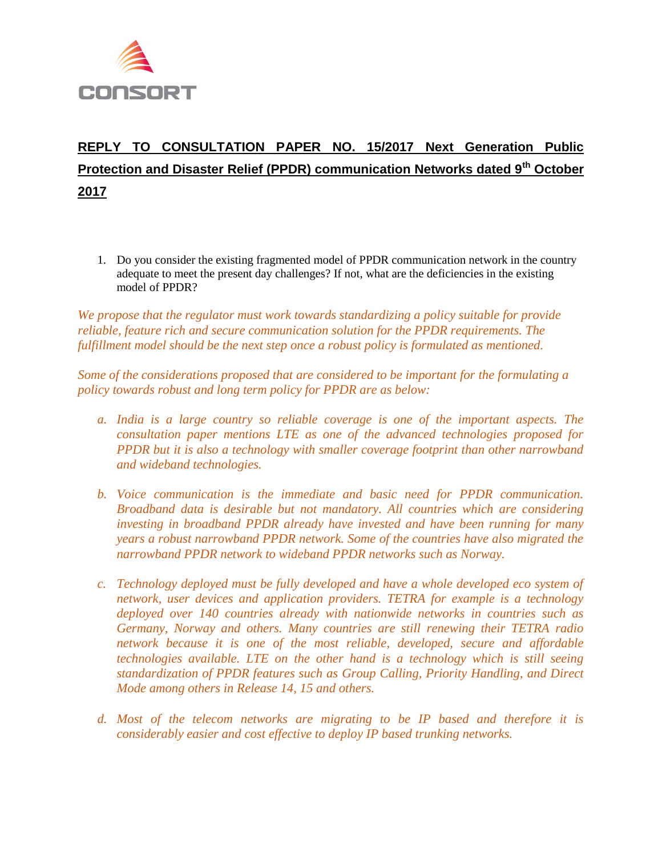

## **REPLY TO CONSULTATION PAPER NO. 15/2017 Next Generation Public Protection and Disaster Relief (PPDR) communication Networks dated 9th October 2017**

1. Do you consider the existing fragmented model of PPDR communication network in the country adequate to meet the present day challenges? If not, what are the deficiencies in the existing model of PPDR?

*We propose that the regulator must work towards standardizing a policy suitable for provide reliable, feature rich and secure communication solution for the PPDR requirements. The fulfillment model should be the next step once a robust policy is formulated as mentioned.*

*Some of the considerations proposed that are considered to be important for the formulating a policy towards robust and long term policy for PPDR are as below:*

- *a. India is a large country so reliable coverage is one of the important aspects. The consultation paper mentions LTE as one of the advanced technologies proposed for PPDR but it is also a technology with smaller coverage footprint than other narrowband and wideband technologies.*
- *b. Voice communication is the immediate and basic need for PPDR communication. Broadband data is desirable but not mandatory. All countries which are considering investing in broadband PPDR already have invested and have been running for many years a robust narrowband PPDR network. Some of the countries have also migrated the narrowband PPDR network to wideband PPDR networks such as Norway.*
- *c. Technology deployed must be fully developed and have a whole developed eco system of network, user devices and application providers. TETRA for example is a technology deployed over 140 countries already with nationwide networks in countries such as Germany, Norway and others. Many countries are still renewing their TETRA radio network because it is one of the most reliable, developed, secure and affordable technologies available. LTE on the other hand is a technology which is still seeing standardization of PPDR features such as Group Calling, Priority Handling, and Direct Mode among others in Release 14, 15 and others.*
- *d. Most of the telecom networks are migrating to be IP based and therefore it is considerably easier and cost effective to deploy IP based trunking networks.*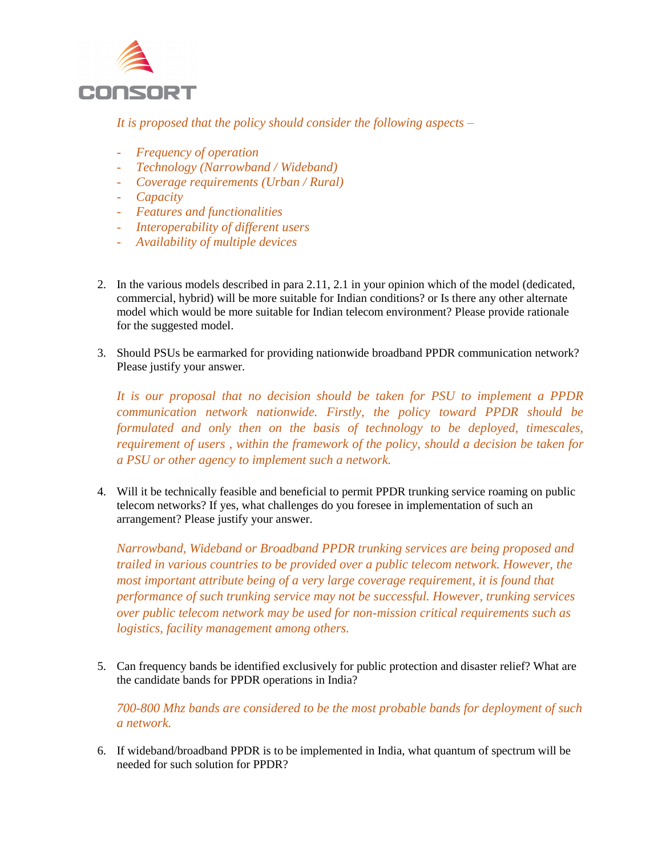

*It is proposed that the policy should consider the following aspects –*

- *Frequency of operation*
- *Technology (Narrowband / Wideband)*
- *Coverage requirements (Urban / Rural)*
- *Capacity*
- *Features and functionalities*
- *Interoperability of different users*
- *Availability of multiple devices*
- 2. In the various models described in para 2.11, 2.1 in your opinion which of the model (dedicated, commercial, hybrid) will be more suitable for Indian conditions? or Is there any other alternate model which would be more suitable for Indian telecom environment? Please provide rationale for the suggested model.
- 3. Should PSUs be earmarked for providing nationwide broadband PPDR communication network? Please justify your answer.

*It is our proposal that no decision should be taken for PSU to implement a PPDR communication network nationwide. Firstly, the policy toward PPDR should be formulated and only then on the basis of technology to be deployed, timescales, requirement of users , within the framework of the policy, should a decision be taken for a PSU or other agency to implement such a network.*

4. Will it be technically feasible and beneficial to permit PPDR trunking service roaming on public telecom networks? If yes, what challenges do you foresee in implementation of such an arrangement? Please justify your answer.

*Narrowband, Wideband or Broadband PPDR trunking services are being proposed and trailed in various countries to be provided over a public telecom network. However, the most important attribute being of a very large coverage requirement, it is found that performance of such trunking service may not be successful. However, trunking services over public telecom network may be used for non-mission critical requirements such as logistics, facility management among others.*

5. Can frequency bands be identified exclusively for public protection and disaster relief? What are the candidate bands for PPDR operations in India?

*700-800 Mhz bands are considered to be the most probable bands for deployment of such a network.*

6. If wideband/broadband PPDR is to be implemented in India, what quantum of spectrum will be needed for such solution for PPDR?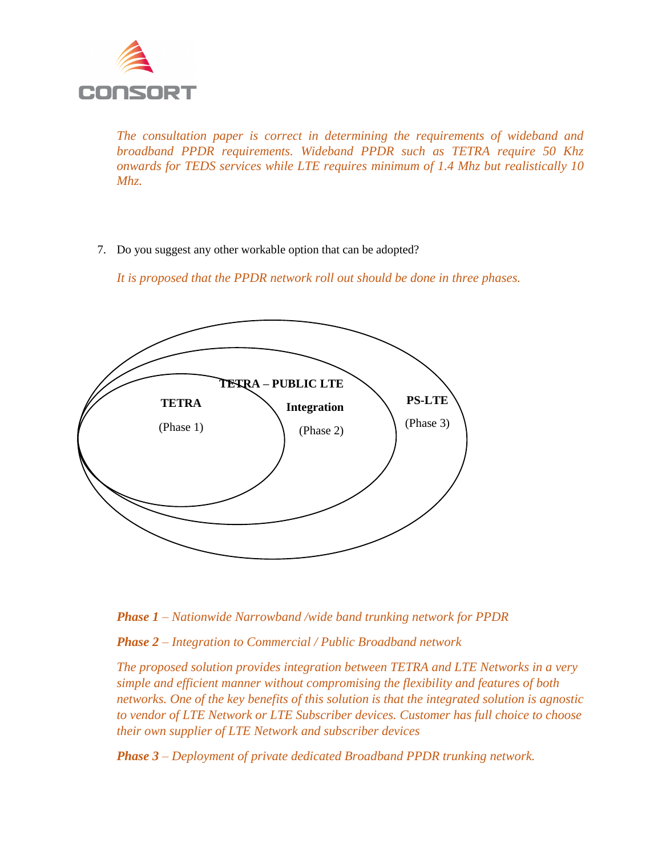

*The consultation paper is correct in determining the requirements of wideband and broadband PPDR requirements. Wideband PPDR such as TETRA require 50 Khz onwards for TEDS services while LTE requires minimum of 1.4 Mhz but realistically 10 Mhz.*

7. Do you suggest any other workable option that can be adopted?

*It is proposed that the PPDR network roll out should be done in three phases.*





*Phase 2 – Integration to Commercial / Public Broadband network*

*The proposed solution provides integration between TETRA and LTE Networks in a very simple and efficient manner without compromising the flexibility and features of both networks. One of the key benefits of this solution is that the integrated solution is agnostic to vendor of LTE Network or LTE Subscriber devices. Customer has full choice to choose their own supplier of LTE Network and subscriber devices*

*Phase 3 – Deployment of private dedicated Broadband PPDR trunking network.*